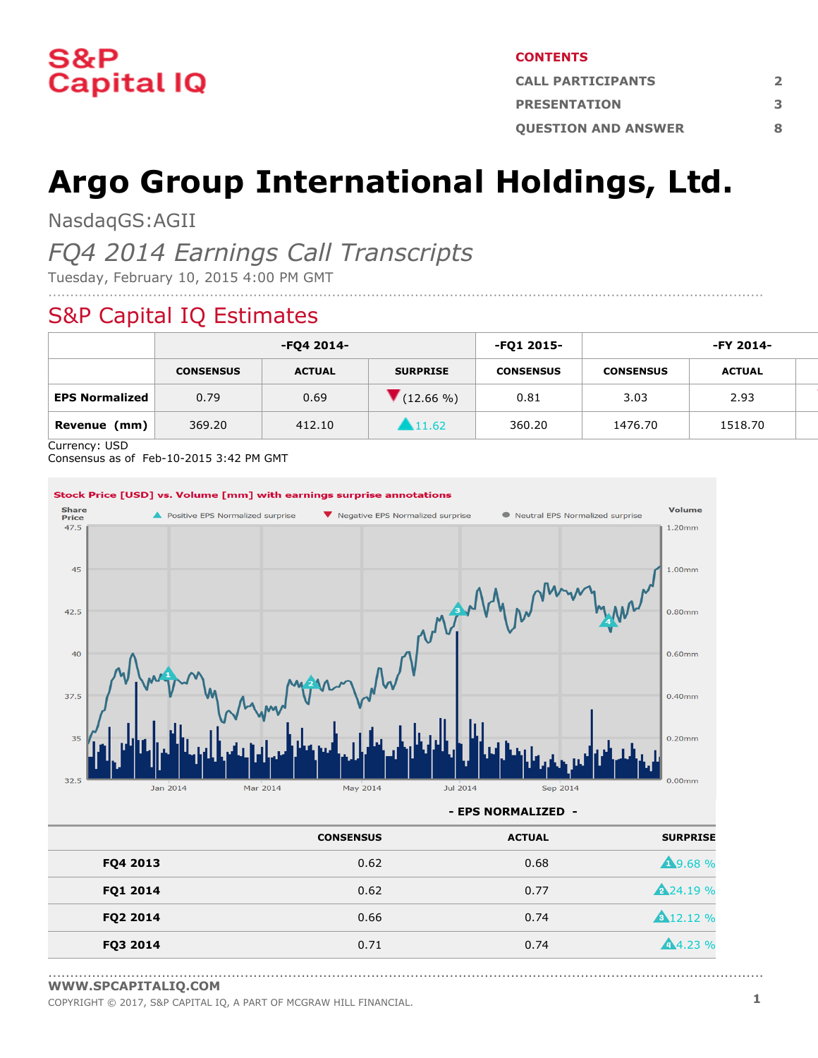

#### **CONTENTS**

| <b>CALL PARTICIPANTS</b>   |  |  |  |  |
|----------------------------|--|--|--|--|
| <b>PRESENTATION</b>        |  |  |  |  |
| <b>OUESTION AND ANSWER</b> |  |  |  |  |

# **Argo Group International Holdings, Ltd.**

....................................................................................................................................................................

NasdaqGS:AGII

### *FQ4 2014 Earnings Call Transcripts*

Tuesday, February 10, 2015 4:00 PM GMT

### S&P Capital IQ Estimates

|                       | -FQ4 2014-       |               | -FQ1 2015-      | -FY 2014-        |                  |               |  |
|-----------------------|------------------|---------------|-----------------|------------------|------------------|---------------|--|
|                       | <b>CONSENSUS</b> | <b>ACTUAL</b> | <b>SURPRISE</b> | <b>CONSENSUS</b> | <b>CONSENSUS</b> | <b>ACTUAL</b> |  |
| <b>EPS Normalized</b> | 0.79             | 0.69          | $(12.66\% )$    | 0.81             | 3.03             | 2.93          |  |
| (mm)<br>Revenue       | 369.20           | 412.10        | 11.62           | 360.20           | 1476.70          | 1518.70       |  |

Currency: USD

Consensus as of Feb-10-2015 3:42 PM GMT



**- EPS NORMALIZED -**

....................................................................................................................................................................

|          | <b>CONSENSUS</b> | <b>ACTUAL</b> | <b>SURPRISE</b>  |
|----------|------------------|---------------|------------------|
| FQ4 2013 | 0.62             | 0.68          | <b>19.68%</b>    |
| FQ1 2014 | 0.62             | 0.77          | <b>A</b> 24.19 % |
| FQ2 2014 | 0.66             | 0.74          | <b>A</b> 12.12 % |
| FQ3 2014 | 0.71             | 0.74          | 4.23%            |

**[WWW.SPCAPITALIQ.COM](https://www.capitaliq.com/home.aspx)**

COPYRIGHT © 2017, S&P CAPITAL IQ, <sup>A</sup> PART OF MCGRAW HILL FINANCIAL. **1**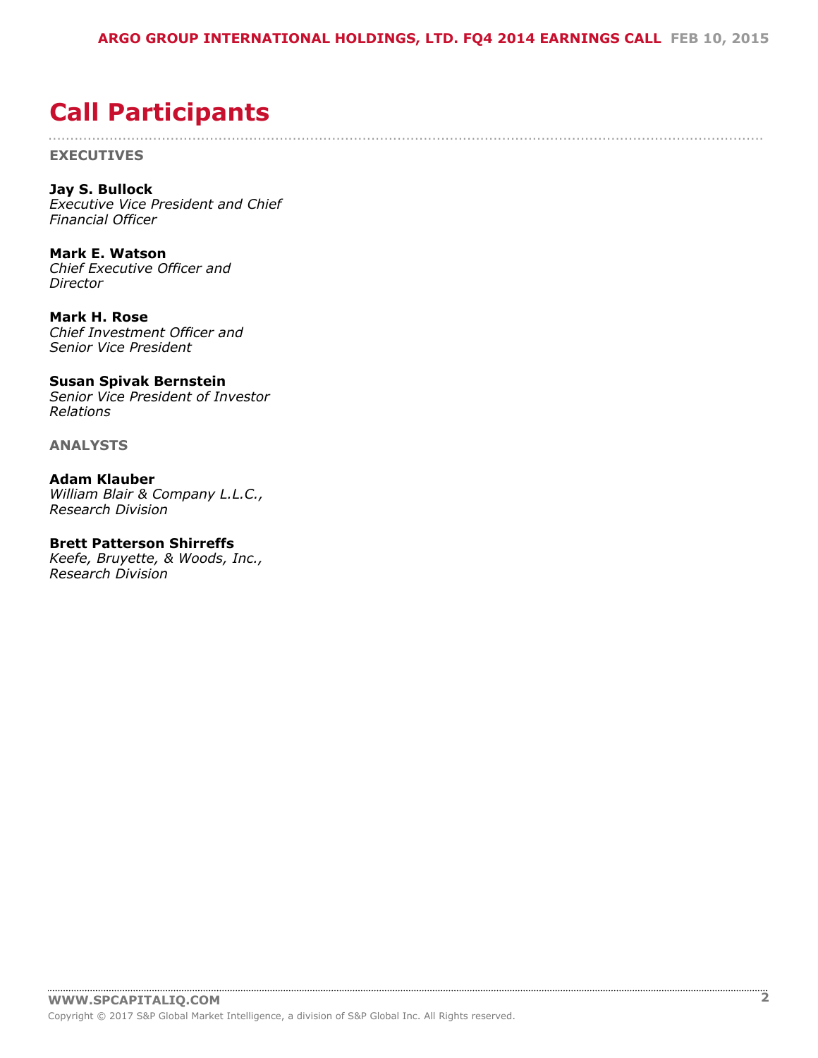....................................................................................................................................................................

## <span id="page-1-0"></span>**Call Participants**

**EXECUTIVES**

**Jay S. Bullock** *Executive Vice President and Chief Financial Officer*

**Mark E. Watson** *Chief Executive Officer and Director*

**Mark H. Rose** *Chief Investment Officer and Senior Vice President*

**Susan Spivak Bernstein** *Senior Vice President of Investor Relations*

**ANALYSTS**

**Adam Klauber** *William Blair & Company L.L.C., Research Division*

#### **Brett Patterson Shirreffs**

*Keefe, Bruyette, & Woods, Inc., Research Division*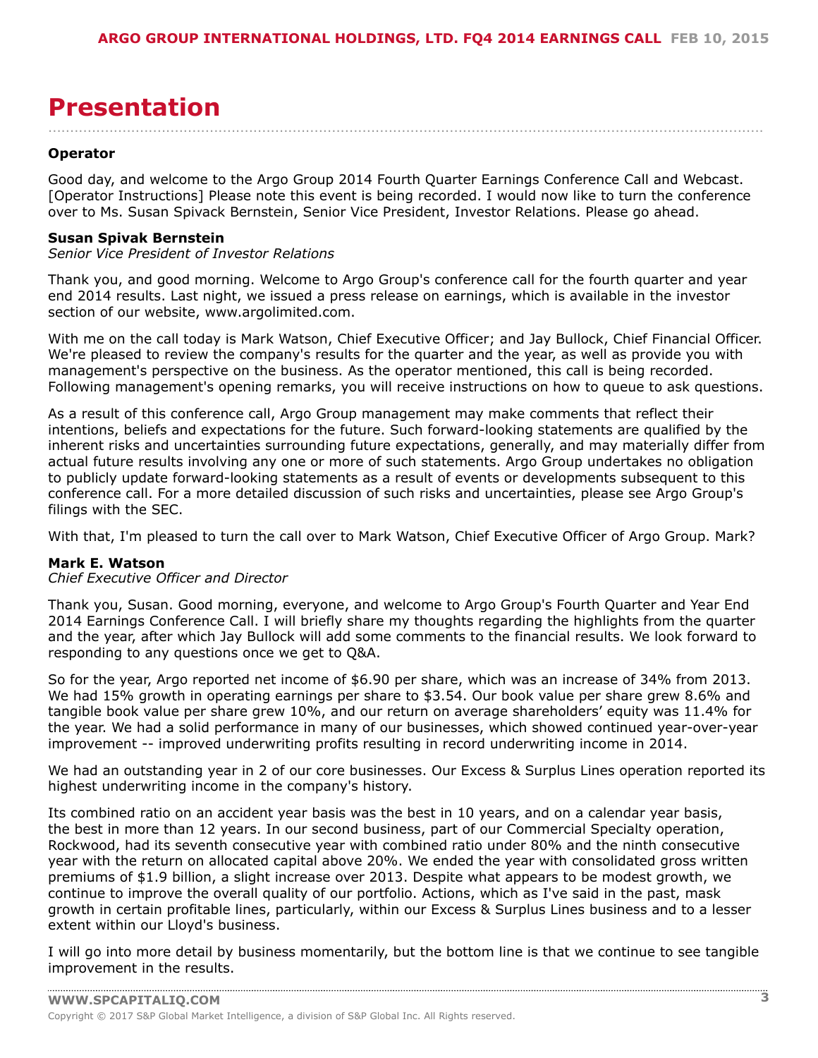## <span id="page-2-0"></span>**Presentation**

#### **Operator**

Good day, and welcome to the Argo Group 2014 Fourth Quarter Earnings Conference Call and Webcast. [Operator Instructions] Please note this event is being recorded. I would now like to turn the conference over to Ms. Susan Spivack Bernstein, Senior Vice President, Investor Relations. Please go ahead.

....................................................................................................................................................................

#### **Susan Spivak Bernstein**

*Senior Vice President of Investor Relations*

Thank you, and good morning. Welcome to Argo Group's conference call for the fourth quarter and year end 2014 results. Last night, we issued a press release on earnings, which is available in the investor section of our website, www.argolimited.com.

With me on the call today is Mark Watson, Chief Executive Officer; and Jay Bullock, Chief Financial Officer. We're pleased to review the company's results for the quarter and the year, as well as provide you with management's perspective on the business. As the operator mentioned, this call is being recorded. Following management's opening remarks, you will receive instructions on how to queue to ask questions.

As a result of this conference call, Argo Group management may make comments that reflect their intentions, beliefs and expectations for the future. Such forward-looking statements are qualified by the inherent risks and uncertainties surrounding future expectations, generally, and may materially differ from actual future results involving any one or more of such statements. Argo Group undertakes no obligation to publicly update forward-looking statements as a result of events or developments subsequent to this conference call. For a more detailed discussion of such risks and uncertainties, please see Argo Group's filings with the SEC.

With that, I'm pleased to turn the call over to Mark Watson, Chief Executive Officer of Argo Group. Mark?

#### **Mark E. Watson**

#### *Chief Executive Officer and Director*

Thank you, Susan. Good morning, everyone, and welcome to Argo Group's Fourth Quarter and Year End 2014 Earnings Conference Call. I will briefly share my thoughts regarding the highlights from the quarter and the year, after which Jay Bullock will add some comments to the financial results. We look forward to responding to any questions once we get to Q&A.

So for the year, Argo reported net income of \$6.90 per share, which was an increase of 34% from 2013. We had 15% growth in operating earnings per share to \$3.54. Our book value per share grew 8.6% and tangible book value per share grew 10%, and our return on average shareholders' equity was 11.4% for the year. We had a solid performance in many of our businesses, which showed continued year-over-year improvement -- improved underwriting profits resulting in record underwriting income in 2014.

We had an outstanding year in 2 of our core businesses. Our Excess & Surplus Lines operation reported its highest underwriting income in the company's history.

Its combined ratio on an accident year basis was the best in 10 years, and on a calendar year basis, the best in more than 12 years. In our second business, part of our Commercial Specialty operation, Rockwood, had its seventh consecutive year with combined ratio under 80% and the ninth consecutive year with the return on allocated capital above 20%. We ended the year with consolidated gross written premiums of \$1.9 billion, a slight increase over 2013. Despite what appears to be modest growth, we continue to improve the overall quality of our portfolio. Actions, which as I've said in the past, mask growth in certain profitable lines, particularly, within our Excess & Surplus Lines business and to a lesser extent within our Lloyd's business.

I will go into more detail by business momentarily, but the bottom line is that we continue to see tangible improvement in the results.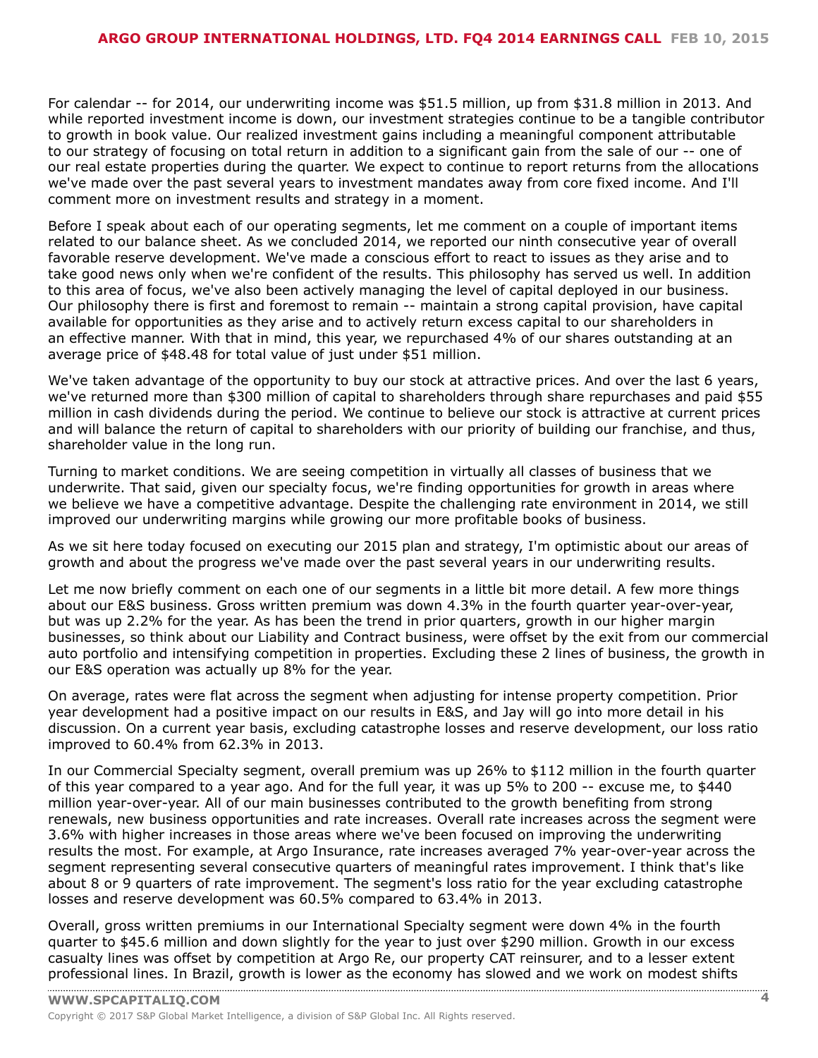For calendar -- for 2014, our underwriting income was \$51.5 million, up from \$31.8 million in 2013. And while reported investment income is down, our investment strategies continue to be a tangible contributor to growth in book value. Our realized investment gains including a meaningful component attributable to our strategy of focusing on total return in addition to a significant gain from the sale of our -- one of our real estate properties during the quarter. We expect to continue to report returns from the allocations we've made over the past several years to investment mandates away from core fixed income. And I'll comment more on investment results and strategy in a moment.

Before I speak about each of our operating segments, let me comment on a couple of important items related to our balance sheet. As we concluded 2014, we reported our ninth consecutive year of overall favorable reserve development. We've made a conscious effort to react to issues as they arise and to take good news only when we're confident of the results. This philosophy has served us well. In addition to this area of focus, we've also been actively managing the level of capital deployed in our business. Our philosophy there is first and foremost to remain -- maintain a strong capital provision, have capital available for opportunities as they arise and to actively return excess capital to our shareholders in an effective manner. With that in mind, this year, we repurchased 4% of our shares outstanding at an average price of \$48.48 for total value of just under \$51 million.

We've taken advantage of the opportunity to buy our stock at attractive prices. And over the last 6 years, we've returned more than \$300 million of capital to shareholders through share repurchases and paid \$55 million in cash dividends during the period. We continue to believe our stock is attractive at current prices and will balance the return of capital to shareholders with our priority of building our franchise, and thus, shareholder value in the long run.

Turning to market conditions. We are seeing competition in virtually all classes of business that we underwrite. That said, given our specialty focus, we're finding opportunities for growth in areas where we believe we have a competitive advantage. Despite the challenging rate environment in 2014, we still improved our underwriting margins while growing our more profitable books of business.

As we sit here today focused on executing our 2015 plan and strategy, I'm optimistic about our areas of growth and about the progress we've made over the past several years in our underwriting results.

Let me now briefly comment on each one of our segments in a little bit more detail. A few more things about our E&S business. Gross written premium was down 4.3% in the fourth quarter year-over-year, but was up 2.2% for the year. As has been the trend in prior quarters, growth in our higher margin businesses, so think about our Liability and Contract business, were offset by the exit from our commercial auto portfolio and intensifying competition in properties. Excluding these 2 lines of business, the growth in our E&S operation was actually up 8% for the year.

On average, rates were flat across the segment when adjusting for intense property competition. Prior year development had a positive impact on our results in E&S, and Jay will go into more detail in his discussion. On a current year basis, excluding catastrophe losses and reserve development, our loss ratio improved to 60.4% from 62.3% in 2013.

In our Commercial Specialty segment, overall premium was up 26% to \$112 million in the fourth quarter of this year compared to a year ago. And for the full year, it was up 5% to 200 -- excuse me, to \$440 million year-over-year. All of our main businesses contributed to the growth benefiting from strong renewals, new business opportunities and rate increases. Overall rate increases across the segment were 3.6% with higher increases in those areas where we've been focused on improving the underwriting results the most. For example, at Argo Insurance, rate increases averaged 7% year-over-year across the segment representing several consecutive quarters of meaningful rates improvement. I think that's like about 8 or 9 quarters of rate improvement. The segment's loss ratio for the year excluding catastrophe losses and reserve development was 60.5% compared to 63.4% in 2013.

Overall, gross written premiums in our International Specialty segment were down 4% in the fourth quarter to \$45.6 million and down slightly for the year to just over \$290 million. Growth in our excess casualty lines was offset by competition at Argo Re, our property CAT reinsurer, and to a lesser extent [professional](www.capitaliq.com) lines. In Brazil, growth is lower as the economy has slowed and we work on modest shifts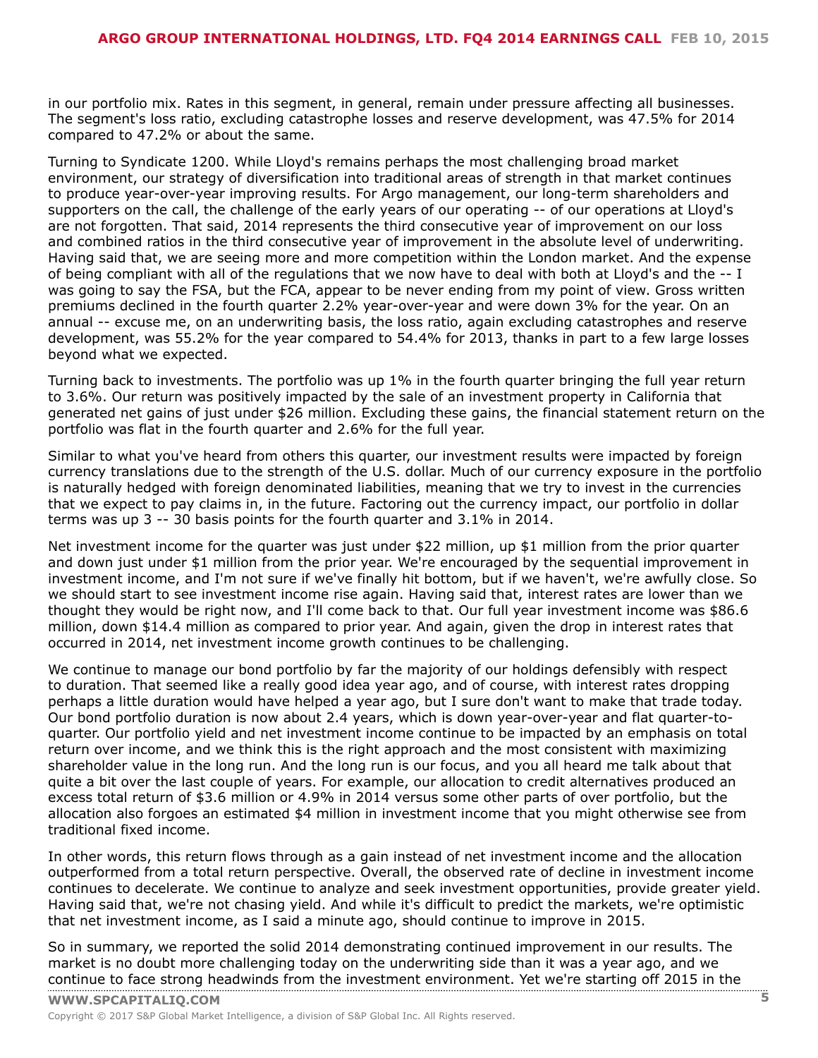in our portfolio mix. Rates in this segment, in general, remain under pressure affecting all businesses. The segment's loss ratio, excluding catastrophe losses and reserve development, was 47.5% for 2014 compared to 47.2% or about the same.

Turning to Syndicate 1200. While Lloyd's remains perhaps the most challenging broad market environment, our strategy of diversification into traditional areas of strength in that market continues to produce year-over-year improving results. For Argo management, our long-term shareholders and supporters on the call, the challenge of the early years of our operating -- of our operations at Lloyd's are not forgotten. That said, 2014 represents the third consecutive year of improvement on our loss and combined ratios in the third consecutive year of improvement in the absolute level of underwriting. Having said that, we are seeing more and more competition within the London market. And the expense of being compliant with all of the regulations that we now have to deal with both at Lloyd's and the -- I was going to say the FSA, but the FCA, appear to be never ending from my point of view. Gross written premiums declined in the fourth quarter 2.2% year-over-year and were down 3% for the year. On an annual -- excuse me, on an underwriting basis, the loss ratio, again excluding catastrophes and reserve development, was 55.2% for the year compared to 54.4% for 2013, thanks in part to a few large losses beyond what we expected.

Turning back to investments. The portfolio was up 1% in the fourth quarter bringing the full year return to 3.6%. Our return was positively impacted by the sale of an investment property in California that generated net gains of just under \$26 million. Excluding these gains, the financial statement return on the portfolio was flat in the fourth quarter and 2.6% for the full year.

Similar to what you've heard from others this quarter, our investment results were impacted by foreign currency translations due to the strength of the U.S. dollar. Much of our currency exposure in the portfolio is naturally hedged with foreign denominated liabilities, meaning that we try to invest in the currencies that we expect to pay claims in, in the future. Factoring out the currency impact, our portfolio in dollar terms was up 3 -- 30 basis points for the fourth quarter and 3.1% in 2014.

Net investment income for the quarter was just under \$22 million, up \$1 million from the prior quarter and down just under \$1 million from the prior year. We're encouraged by the sequential improvement in investment income, and I'm not sure if we've finally hit bottom, but if we haven't, we're awfully close. So we should start to see investment income rise again. Having said that, interest rates are lower than we thought they would be right now, and I'll come back to that. Our full year investment income was \$86.6 million, down \$14.4 million as compared to prior year. And again, given the drop in interest rates that occurred in 2014, net investment income growth continues to be challenging.

We continue to manage our bond portfolio by far the majority of our holdings defensibly with respect to duration. That seemed like a really good idea year ago, and of course, with interest rates dropping perhaps a little duration would have helped a year ago, but I sure don't want to make that trade today. Our bond portfolio duration is now about 2.4 years, which is down year-over-year and flat quarter-toquarter. Our portfolio yield and net investment income continue to be impacted by an emphasis on total return over income, and we think this is the right approach and the most consistent with maximizing shareholder value in the long run. And the long run is our focus, and you all heard me talk about that quite a bit over the last couple of years. For example, our allocation to credit alternatives produced an excess total return of \$3.6 million or 4.9% in 2014 versus some other parts of over portfolio, but the allocation also forgoes an estimated \$4 million in investment income that you might otherwise see from traditional fixed income.

In other words, this return flows through as a gain instead of net investment income and the allocation outperformed from a total return perspective. Overall, the observed rate of decline in investment income continues to decelerate. We continue to analyze and seek investment opportunities, provide greater yield. Having said that, we're not chasing yield. And while it's difficult to predict the markets, we're optimistic that net investment income, as I said a minute ago, should continue to improve in 2015.

So in summary, we reported the solid 2014 demonstrating continued improvement in our results. The market is no doubt more challenging today on the underwriting side than it was a year ago, and we [continue](www.capitaliq.com) to face strong headwinds from the investment environment. Yet we're starting off 2015 in the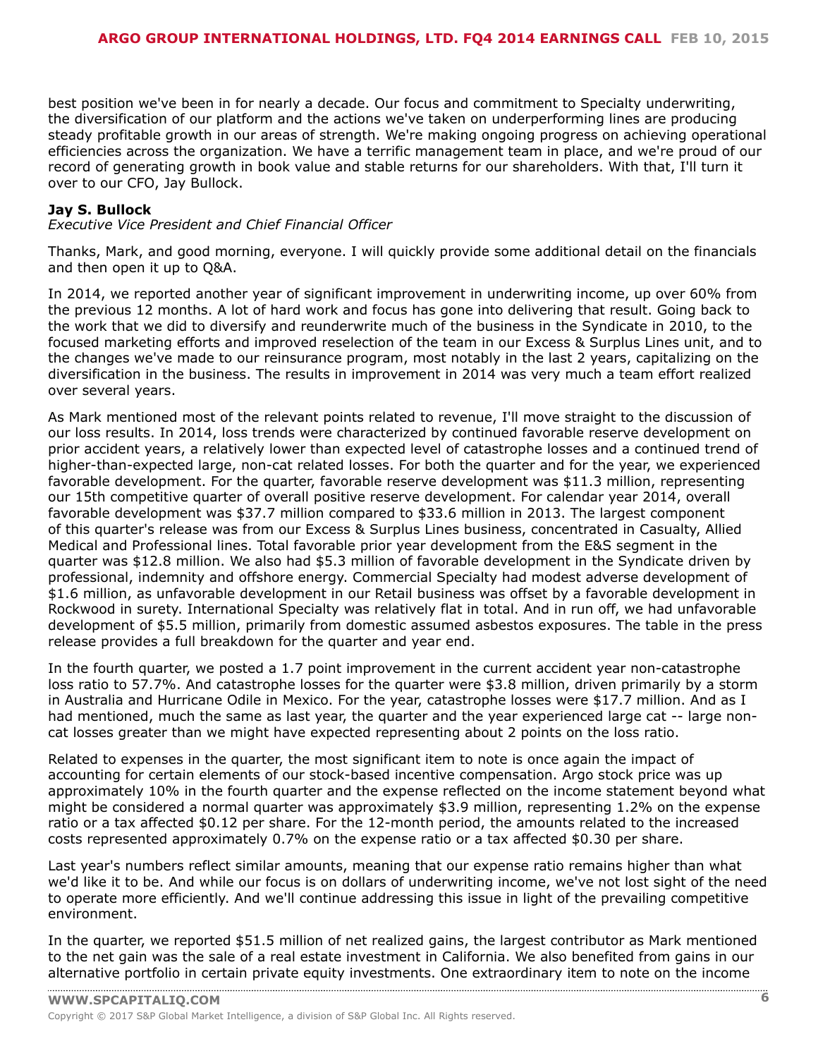best position we've been in for nearly a decade. Our focus and commitment to Specialty underwriting, the diversification of our platform and the actions we've taken on underperforming lines are producing steady profitable growth in our areas of strength. We're making ongoing progress on achieving operational efficiencies across the organization. We have a terrific management team in place, and we're proud of our record of generating growth in book value and stable returns for our shareholders. With that, I'll turn it over to our CFO, Jay Bullock.

#### **Jay S. Bullock**

*Executive Vice President and Chief Financial Officer*

Thanks, Mark, and good morning, everyone. I will quickly provide some additional detail on the financials and then open it up to Q&A.

In 2014, we reported another year of significant improvement in underwriting income, up over 60% from the previous 12 months. A lot of hard work and focus has gone into delivering that result. Going back to the work that we did to diversify and reunderwrite much of the business in the Syndicate in 2010, to the focused marketing efforts and improved reselection of the team in our Excess & Surplus Lines unit, and to the changes we've made to our reinsurance program, most notably in the last 2 years, capitalizing on the diversification in the business. The results in improvement in 2014 was very much a team effort realized over several years.

As Mark mentioned most of the relevant points related to revenue, I'll move straight to the discussion of our loss results. In 2014, loss trends were characterized by continued favorable reserve development on prior accident years, a relatively lower than expected level of catastrophe losses and a continued trend of higher-than-expected large, non-cat related losses. For both the quarter and for the year, we experienced favorable development. For the quarter, favorable reserve development was \$11.3 million, representing our 15th competitive quarter of overall positive reserve development. For calendar year 2014, overall favorable development was \$37.7 million compared to \$33.6 million in 2013. The largest component of this quarter's release was from our Excess & Surplus Lines business, concentrated in Casualty, Allied Medical and Professional lines. Total favorable prior year development from the E&S segment in the quarter was \$12.8 million. We also had \$5.3 million of favorable development in the Syndicate driven by professional, indemnity and offshore energy. Commercial Specialty had modest adverse development of \$1.6 million, as unfavorable development in our Retail business was offset by a favorable development in Rockwood in surety. International Specialty was relatively flat in total. And in run off, we had unfavorable development of \$5.5 million, primarily from domestic assumed asbestos exposures. The table in the press release provides a full breakdown for the quarter and year end.

In the fourth quarter, we posted a 1.7 point improvement in the current accident year non-catastrophe loss ratio to 57.7%. And catastrophe losses for the quarter were \$3.8 million, driven primarily by a storm in Australia and Hurricane Odile in Mexico. For the year, catastrophe losses were \$17.7 million. And as I had mentioned, much the same as last year, the quarter and the year experienced large cat -- large noncat losses greater than we might have expected representing about 2 points on the loss ratio.

Related to expenses in the quarter, the most significant item to note is once again the impact of accounting for certain elements of our stock-based incentive compensation. Argo stock price was up approximately 10% in the fourth quarter and the expense reflected on the income statement beyond what might be considered a normal quarter was approximately \$3.9 million, representing 1.2% on the expense ratio or a tax affected \$0.12 per share. For the 12-month period, the amounts related to the increased costs represented approximately 0.7% on the expense ratio or a tax affected \$0.30 per share.

Last year's numbers reflect similar amounts, meaning that our expense ratio remains higher than what we'd like it to be. And while our focus is on dollars of underwriting income, we've not lost sight of the need to operate more efficiently. And we'll continue addressing this issue in light of the prevailing competitive environment.

In the quarter, we reported \$51.5 million of net realized gains, the largest contributor as Mark mentioned to the net gain was the sale of a real estate investment in California. We also benefited from gains in our [alternative](www.capitaliq.com) portfolio in certain private equity investments. One extraordinary item to note on the income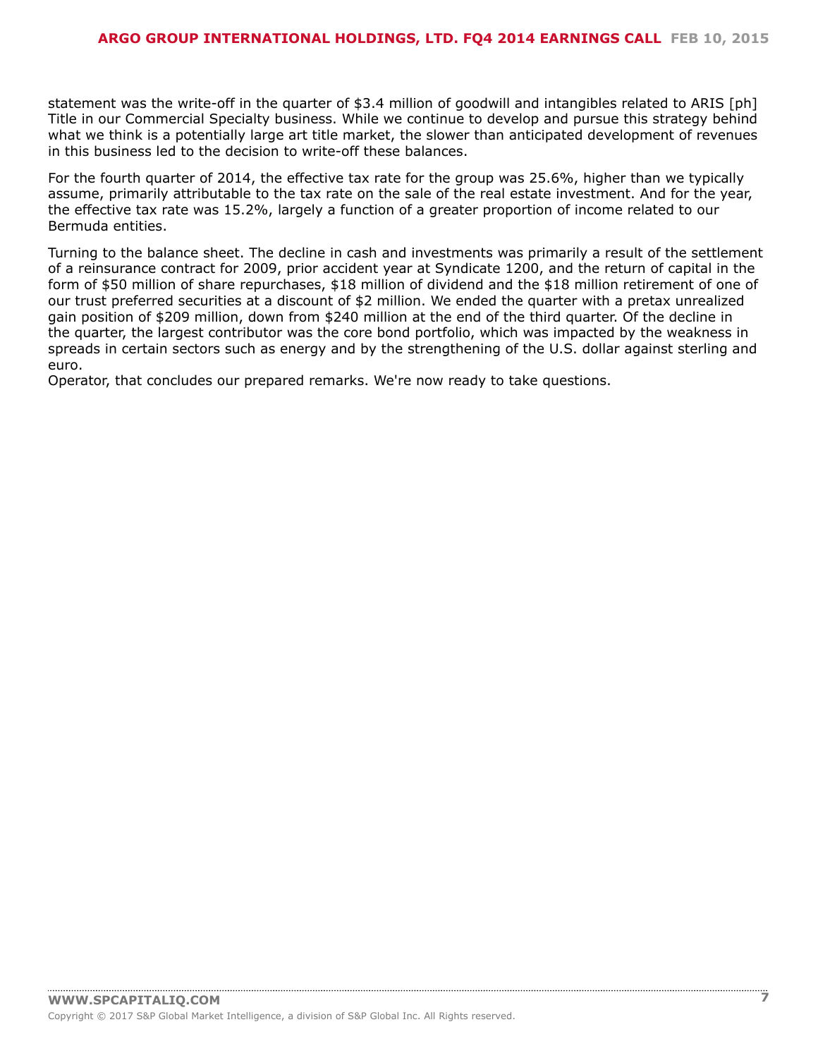statement was the write-off in the quarter of \$3.4 million of goodwill and intangibles related to ARIS [ph] Title in our Commercial Specialty business. While we continue to develop and pursue this strategy behind what we think is a potentially large art title market, the slower than anticipated development of revenues in this business led to the decision to write-off these balances.

For the fourth quarter of 2014, the effective tax rate for the group was 25.6%, higher than we typically assume, primarily attributable to the tax rate on the sale of the real estate investment. And for the year, the effective tax rate was 15.2%, largely a function of a greater proportion of income related to our Bermuda entities.

Turning to the balance sheet. The decline in cash and investments was primarily a result of the settlement of a reinsurance contract for 2009, prior accident year at Syndicate 1200, and the return of capital in the form of \$50 million of share repurchases, \$18 million of dividend and the \$18 million retirement of one of our trust preferred securities at a discount of \$2 million. We ended the quarter with a pretax unrealized gain position of \$209 million, down from \$240 million at the end of the third quarter. Of the decline in the quarter, the largest contributor was the core bond portfolio, which was impacted by the weakness in spreads in certain sectors such as energy and by the strengthening of the U.S. dollar against sterling and euro.

Operator, that concludes our prepared remarks. We're now ready to take questions.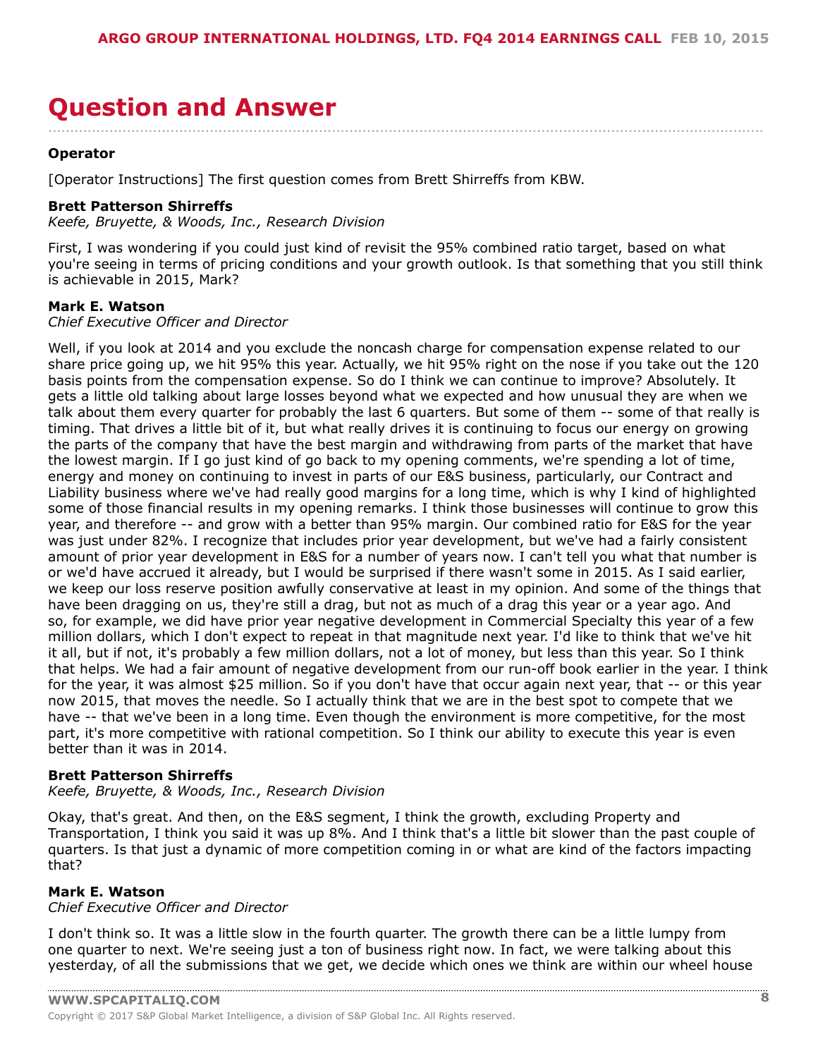### <span id="page-7-0"></span>**Question and Answer** ....................................................................................................................................................................

#### **Operator**

[Operator Instructions] The first question comes from Brett Shirreffs from KBW.

#### **Brett Patterson Shirreffs**

*Keefe, Bruyette, & Woods, Inc., Research Division*

First, I was wondering if you could just kind of revisit the 95% combined ratio target, based on what you're seeing in terms of pricing conditions and your growth outlook. Is that something that you still think is achievable in 2015, Mark?

#### **Mark E. Watson**

*Chief Executive Officer and Director*

Well, if you look at 2014 and you exclude the noncash charge for compensation expense related to our share price going up, we hit 95% this year. Actually, we hit 95% right on the nose if you take out the 120 basis points from the compensation expense. So do I think we can continue to improve? Absolutely. It gets a little old talking about large losses beyond what we expected and how unusual they are when we talk about them every quarter for probably the last 6 quarters. But some of them -- some of that really is timing. That drives a little bit of it, but what really drives it is continuing to focus our energy on growing the parts of the company that have the best margin and withdrawing from parts of the market that have the lowest margin. If I go just kind of go back to my opening comments, we're spending a lot of time, energy and money on continuing to invest in parts of our E&S business, particularly, our Contract and Liability business where we've had really good margins for a long time, which is why I kind of highlighted some of those financial results in my opening remarks. I think those businesses will continue to grow this year, and therefore -- and grow with a better than 95% margin. Our combined ratio for E&S for the year was just under 82%. I recognize that includes prior year development, but we've had a fairly consistent amount of prior year development in E&S for a number of years now. I can't tell you what that number is or we'd have accrued it already, but I would be surprised if there wasn't some in 2015. As I said earlier, we keep our loss reserve position awfully conservative at least in my opinion. And some of the things that have been dragging on us, they're still a drag, but not as much of a drag this year or a year ago. And so, for example, we did have prior year negative development in Commercial Specialty this year of a few million dollars, which I don't expect to repeat in that magnitude next year. I'd like to think that we've hit it all, but if not, it's probably a few million dollars, not a lot of money, but less than this year. So I think that helps. We had a fair amount of negative development from our run-off book earlier in the year. I think for the year, it was almost \$25 million. So if you don't have that occur again next year, that -- or this year now 2015, that moves the needle. So I actually think that we are in the best spot to compete that we have -- that we've been in a long time. Even though the environment is more competitive, for the most part, it's more competitive with rational competition. So I think our ability to execute this year is even better than it was in 2014.

#### **Brett Patterson Shirreffs**

*Keefe, Bruyette, & Woods, Inc., Research Division*

Okay, that's great. And then, on the E&S segment, I think the growth, excluding Property and Transportation, I think you said it was up 8%. And I think that's a little bit slower than the past couple of quarters. Is that just a dynamic of more competition coming in or what are kind of the factors impacting that?

#### **Mark E. Watson**

*Chief Executive Officer and Director*

I don't think so. It was a little slow in the fourth quarter. The growth there can be a little lumpy from one quarter to next. We're seeing just a ton of business right now. In fact, we were talking about this yesterday, of all the submissions that we get, we decide which ones we think are within our wheel house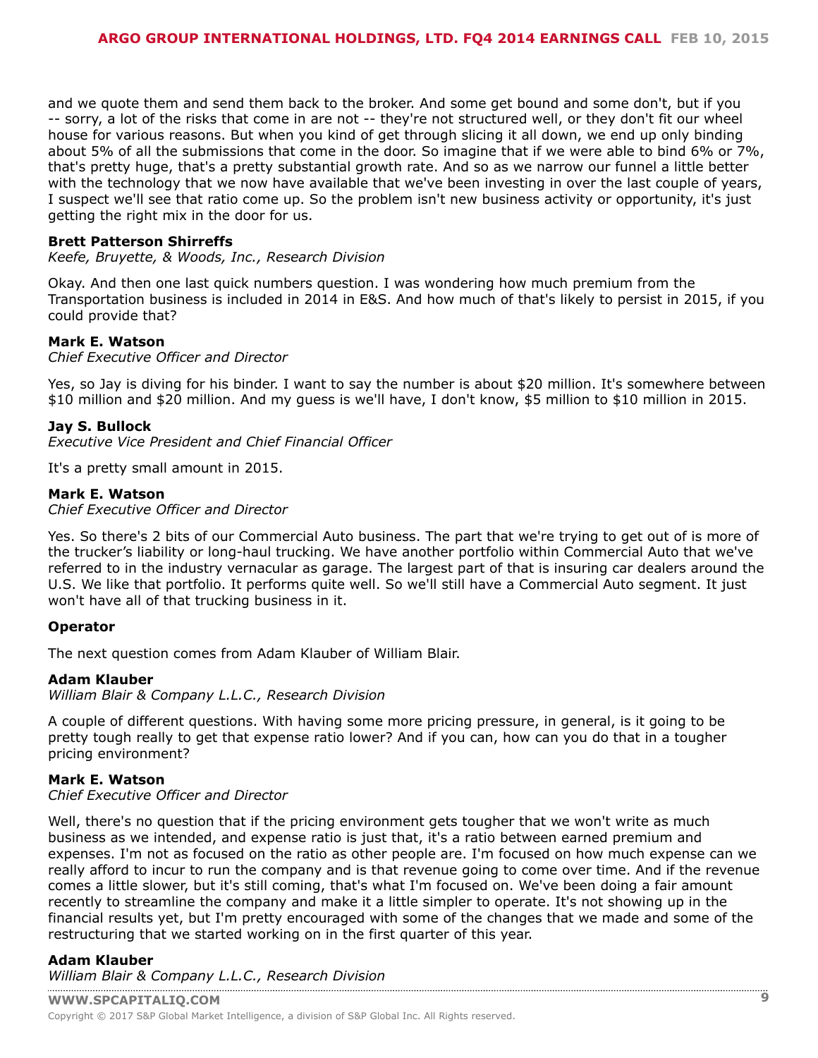and we quote them and send them back to the broker. And some get bound and some don't, but if you -- sorry, a lot of the risks that come in are not -- they're not structured well, or they don't fit our wheel house for various reasons. But when you kind of get through slicing it all down, we end up only binding about 5% of all the submissions that come in the door. So imagine that if we were able to bind 6% or 7%, that's pretty huge, that's a pretty substantial growth rate. And so as we narrow our funnel a little better with the technology that we now have available that we've been investing in over the last couple of years, I suspect we'll see that ratio come up. So the problem isn't new business activity or opportunity, it's just getting the right mix in the door for us.

#### **Brett Patterson Shirreffs**

*Keefe, Bruyette, & Woods, Inc., Research Division*

Okay. And then one last quick numbers question. I was wondering how much premium from the Transportation business is included in 2014 in E&S. And how much of that's likely to persist in 2015, if you could provide that?

#### **Mark E. Watson**

*Chief Executive Officer and Director*

Yes, so Jay is diving for his binder. I want to say the number is about \$20 million. It's somewhere between \$10 million and \$20 million. And my guess is we'll have, I don't know, \$5 million to \$10 million in 2015.

#### **Jay S. Bullock**

*Executive Vice President and Chief Financial Officer*

It's a pretty small amount in 2015.

#### **Mark E. Watson**

*Chief Executive Officer and Director*

Yes. So there's 2 bits of our Commercial Auto business. The part that we're trying to get out of is more of the trucker's liability or long-haul trucking. We have another portfolio within Commercial Auto that we've referred to in the industry vernacular as garage. The largest part of that is insuring car dealers around the U.S. We like that portfolio. It performs quite well. So we'll still have a Commercial Auto segment. It just won't have all of that trucking business in it.

#### **Operator**

The next question comes from Adam Klauber of William Blair.

#### **Adam Klauber**

*William Blair & Company L.L.C., Research Division*

A couple of different questions. With having some more pricing pressure, in general, is it going to be pretty tough really to get that expense ratio lower? And if you can, how can you do that in a tougher pricing environment?

#### **Mark E. Watson**

#### *Chief Executive Officer and Director*

Well, there's no question that if the pricing environment gets tougher that we won't write as much business as we intended, and expense ratio is just that, it's a ratio between earned premium and expenses. I'm not as focused on the ratio as other people are. I'm focused on how much expense can we really afford to incur to run the company and is that revenue going to come over time. And if the revenue comes a little slower, but it's still coming, that's what I'm focused on. We've been doing a fair amount recently to streamline the company and make it a little simpler to operate. It's not showing up in the financial results yet, but I'm pretty encouraged with some of the changes that we made and some of the restructuring that we started working on in the first quarter of this year.

#### **Adam Klauber**

*[William Blair & Company L](www.capitaliq.com).L.C., Research Division*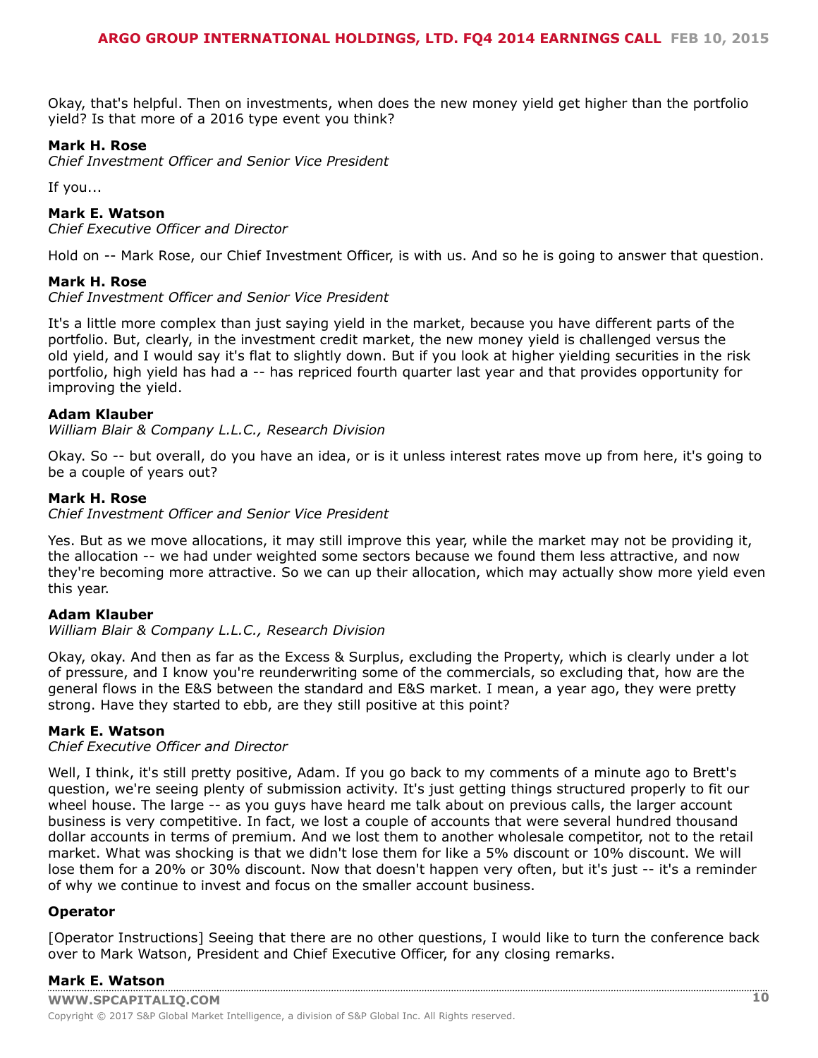Okay, that's helpful. Then on investments, when does the new money yield get higher than the portfolio yield? Is that more of a 2016 type event you think?

#### **Mark H. Rose**

*Chief Investment Officer and Senior Vice President*

If you...

#### **Mark E. Watson**

*Chief Executive Officer and Director*

Hold on -- Mark Rose, our Chief Investment Officer, is with us. And so he is going to answer that question.

#### **Mark H. Rose**

*Chief Investment Officer and Senior Vice President*

It's a little more complex than just saying yield in the market, because you have different parts of the portfolio. But, clearly, in the investment credit market, the new money yield is challenged versus the old yield, and I would say it's flat to slightly down. But if you look at higher yielding securities in the risk portfolio, high yield has had a -- has repriced fourth quarter last year and that provides opportunity for improving the yield.

#### **Adam Klauber**

*William Blair & Company L.L.C., Research Division*

Okay. So -- but overall, do you have an idea, or is it unless interest rates move up from here, it's going to be a couple of years out?

#### **Mark H. Rose**

*Chief Investment Officer and Senior Vice President*

Yes. But as we move allocations, it may still improve this year, while the market may not be providing it, the allocation -- we had under weighted some sectors because we found them less attractive, and now they're becoming more attractive. So we can up their allocation, which may actually show more yield even this year.

#### **Adam Klauber**

*William Blair & Company L.L.C., Research Division*

Okay, okay. And then as far as the Excess & Surplus, excluding the Property, which is clearly under a lot of pressure, and I know you're reunderwriting some of the commercials, so excluding that, how are the general flows in the E&S between the standard and E&S market. I mean, a year ago, they were pretty strong. Have they started to ebb, are they still positive at this point?

#### **Mark E. Watson**

*Chief Executive Officer and Director*

Well, I think, it's still pretty positive, Adam. If you go back to my comments of a minute ago to Brett's question, we're seeing plenty of submission activity. It's just getting things structured properly to fit our wheel house. The large -- as you guys have heard me talk about on previous calls, the larger account business is very competitive. In fact, we lost a couple of accounts that were several hundred thousand dollar accounts in terms of premium. And we lost them to another wholesale competitor, not to the retail market. What was shocking is that we didn't lose them for like a 5% discount or 10% discount. We will lose them for a 20% or 30% discount. Now that doesn't happen very often, but it's just -- it's a reminder of why we continue to invest and focus on the smaller account business.

#### **Operator**

[Operator Instructions] Seeing that there are no other questions, I would like to turn the conference back over to Mark Watson, President and Chief Executive Officer, for any closing remarks.

#### **[Mark E. Watson](www.capitaliq.com)**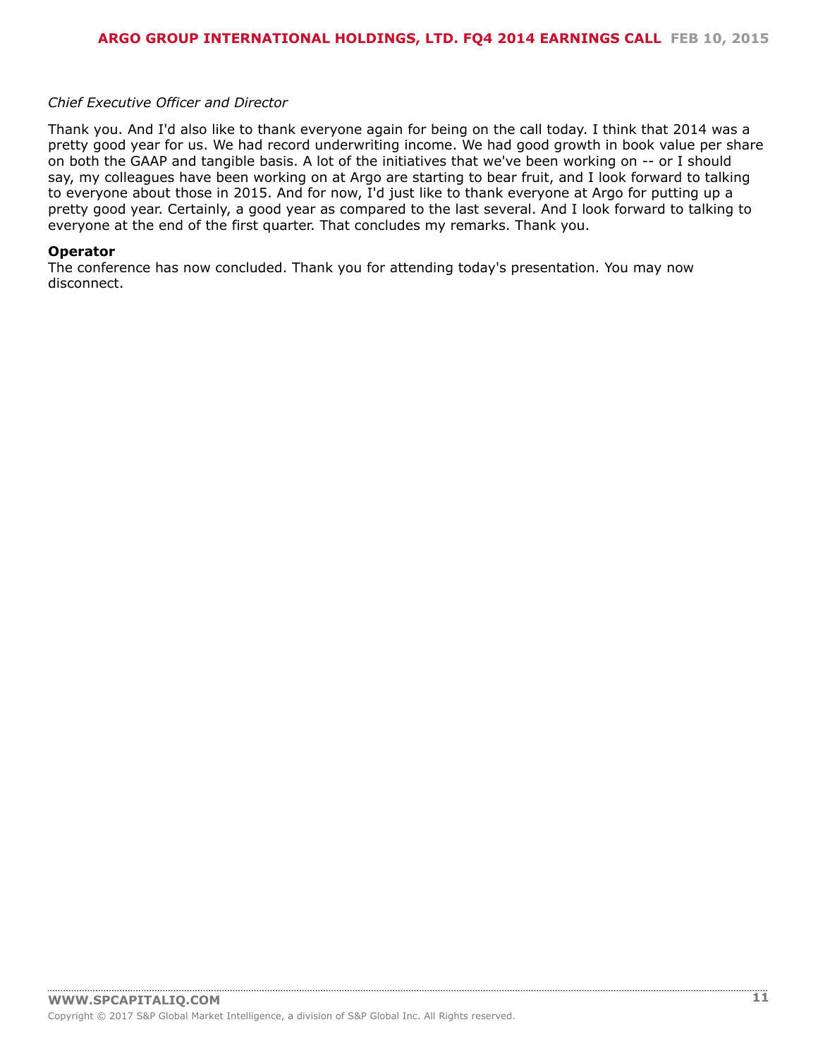#### *Chief Executive Officer and Director*

Thank you. And I'd also like to thank everyone again for being on the call today. I think that 2014 was a pretty good year for us. We had record underwriting income. We had good growth in book value per share on both the GAAP and tangible basis. A lot of the initiatives that we've been working on -- or I should say, my colleagues have been working on at Argo are starting to bear fruit, and I look forward to talking to everyone about those in 2015. And for now, I'd just like to thank everyone at Argo for putting up a pretty good year. Certainly, a good year as compared to the last several. And I look forward to talking to everyone at the end of the first quarter. That concludes my remarks. Thank you.

#### **Operator**

The conference has now concluded. Thank you for attending today's presentation. You may now disconnect.